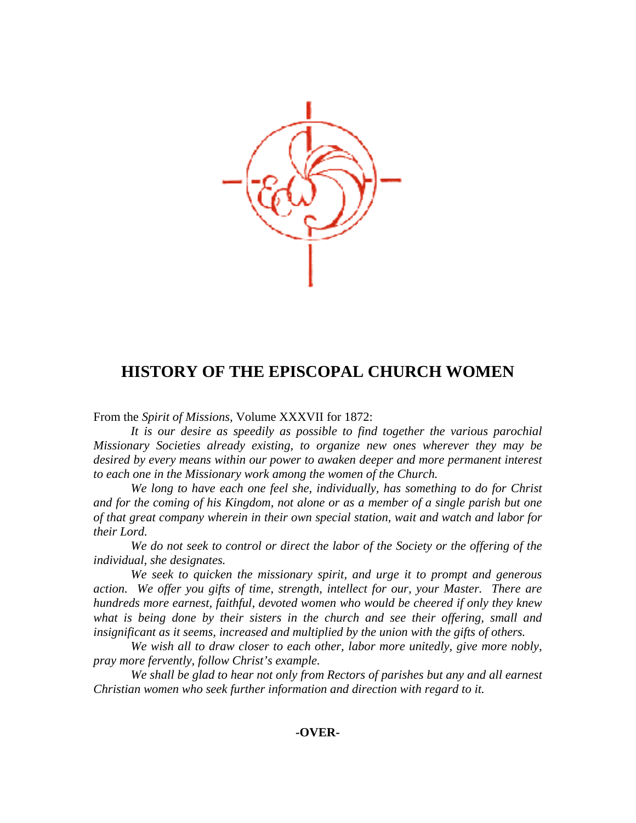

## **HISTORY OF THE EPISCOPAL CHURCH WOMEN**

From the *Spirit of Missions,* Volume XXXVII for 1872:

 *It is our desire as speedily as possible to find together the various parochial Missionary Societies already existing, to organize new ones wherever they may be desired by every means within our power to awaken deeper and more permanent interest to each one in the Missionary work among the women of the Church.* 

 *We long to have each one feel she, individually, has something to do for Christ and for the coming of his Kingdom, not alone or as a member of a single parish but one of that great company wherein in their own special station, wait and watch and labor for their Lord.* 

 *We do not seek to control or direct the labor of the Society or the offering of the individual, she designates.* 

 *We seek to quicken the missionary spirit, and urge it to prompt and generous action. We offer you gifts of time, strength, intellect for our, your Master. There are hundreds more earnest, faithful, devoted women who would be cheered if only they knew what is being done by their sisters in the church and see their offering, small and insignificant as it seems, increased and multiplied by the union with the gifts of others.* 

 *We wish all to draw closer to each other, labor more unitedly, give more nobly, pray more fervently, follow Christ's example.* 

 *We shall be glad to hear not only from Rectors of parishes but any and all earnest Christian women who seek further information and direction with regard to it.*